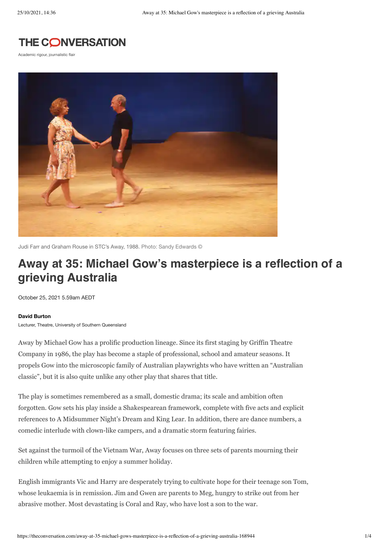

Academic rigour, journalistic flair



Judi Farr and Graham Rouse in STC's Away, 1988. Photo: Sandy Edwards ©

# **Away at 35: Michael Gow's masterpiece is a reflection of a grieving Australia**

October 25, 2021 5.59am AEDT

#### **[David Burton](https://theconversation.com/profiles/david-burton-1266035)**

Lecturer, Theatre, University of Southern Queensland

Away by Michael Gow has a prolific production lineage. Since its first staging by Griffin Theatre Company in 1986, the play has become a staple of professional, school and amateur seasons. It propels Gow into the microscopic family of Australian playwrights who have written an "Australian classic", but it is also quite unlike any other play that shares that title.

The play is sometimes remembered as a small, domestic drama; its scale and ambition often forgotten. Gow sets his play inside a Shakespearean framework, complete with five acts and explicit references to A Midsummer Night's Dream and King Lear. In addition, there are dance numbers, a comedic interlude with clown-like campers, and a dramatic storm featuring fairies.

Set against the turmoil of the Vietnam War, Away focuses on three sets of parents mourning their children while attempting to enjoy a summer holiday.

English immigrants Vic and Harry are desperately trying to cultivate hope for their teenage son Tom, whose leukaemia is in remission. Jim and Gwen are parents to Meg, hungry to strike out from her abrasive mother. Most devastating is Coral and Ray, who have lost a son to the war.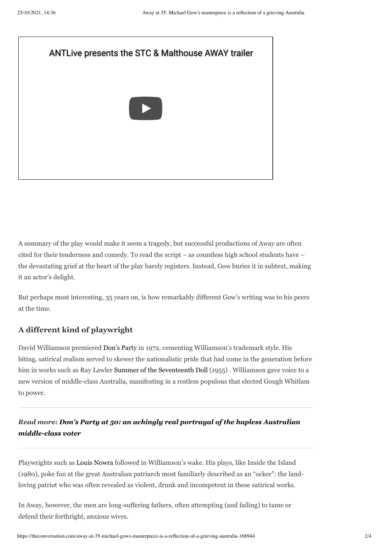

A summary of the play would make it seem a tragedy, but successful productions of Away are often cited for their tenderness and comedy. To read the script – as countless high school students have – the devastating grief at the heart of the play barely registers. Instead, Gow buries it in subtext, making it an actor's delight.

But perhaps most interesting, 35 years on, is how remarkably different Gow's writing was to his peers at the time.

# **A different kind of playwright**

David Williamson premiered [Don's](https://theconversation.com/dons-party-at-50-an-achingly-real-portrayal-of-the-hapless-australian-middle-class-voter-165609) Party in 1972, cementing Williamson's trademark style. His biting, satirical realism served to skewer the nationalistic pride that had come in the generation before him in works such as Ray Lawler Summer of the [Seventeenth](https://www.austlit.edu.au/austlit/page/C204052) Doll (1955). Williamson gave voice to a new version of middle-class Australia, manifesting in a restless populous that elected Gough Whitlam to power.

# *Read more: Don's Party at 50: an achingly real portrayal of the hapless Australian [middle-class](https://theconversation.com/dons-party-at-50-an-achingly-real-portrayal-of-the-hapless-australian-middle-class-voter-165609) voter*

Playwrights such as Louis [Nowra](https://apt.org.au/playwright/CP-nowkin) followed in Williamson's wake. His plays, like Inside the Island (1980), poke fun at the great Australian patriarch most familiarly described as an "ocker": the landloving patriot who was often revealed as violent, drunk and incompetent in these satirical works.

In Away, however, the men are long-suffering fathers, often attempting (and failing) to tame or defend their forthright, anxious wives.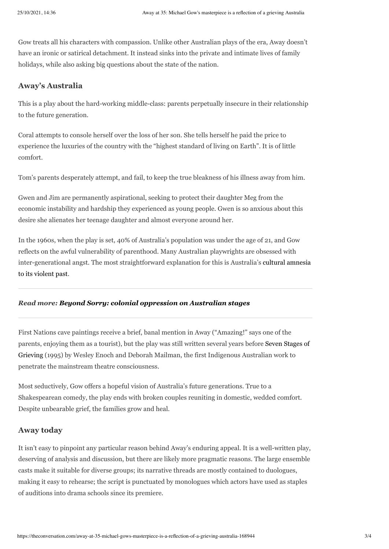Gow treats all his characters with compassion. Unlike other Australian plays of the era, Away doesn't have an ironic or satirical detachment. It instead sinks into the private and intimate lives of family holidays, while also asking big questions about the state of the nation.

# **Away's Australia**

This is a play about the hard-working middle-class: parents perpetually insecure in their relationship to the future generation.

Coral attempts to console herself over the loss of her son. She tells herself he paid the price to experience the luxuries of the country with the "highest standard of living on Earth". It is of little comfort.

Tom's parents desperately attempt, and fail, to keep the true bleakness of his illness away from him.

Gwen and Jim are permanently aspirational, seeking to protect their daughter Meg from the economic instability and hardship they experienced as young people. Gwen is so anxious about this desire she alienates her teenage daughter and almost everyone around her.

In the 1960s, when the play is set, 40% of Australia's population was under the age of 21, and Gow reflects on the awful vulnerability of parenthood. Many Australian playwrights are obsessed with [inter-generational](https://theconversation.com/beyond-sorry-colonial-oppression-on-australian-stages-41759) angst. The most straightforward explanation for this is Australia's cultural amnesia to its violent past.

## *Read more: Beyond Sorry: colonial [oppression](https://theconversation.com/beyond-sorry-colonial-oppression-on-australian-stages-41759) on Australian stages*

First Nations cave paintings receive a brief, banal mention in Away ("Amazing!" says one of the parents, enjoying them as a tourist), but the play was still written several years before Seven Stages of Grieving (1995) by Wesley Enoch and Deborah Mailman, the first [Indigenous](https://www.austlit.edu.au/austlit/page/C169246) Australian work to penetrate the mainstream theatre consciousness.

Most seductively, Gow offers a hopeful vision of Australia's future generations. True to a Shakespearean comedy, the play ends with broken couples reuniting in domestic, wedded comfort. Despite unbearable grief, the families grow and heal.

## **Away today**

It isn't easy to pinpoint any particular reason behind Away's enduring appeal. It is a well-written play, deserving of analysis and discussion, but there are likely more pragmatic reasons. The large ensemble casts make it suitable for diverse groups; its narrative threads are mostly contained to duologues, making it easy to rehearse; the script is punctuated by monologues which actors have used as staples of auditions into drama schools since its premiere.